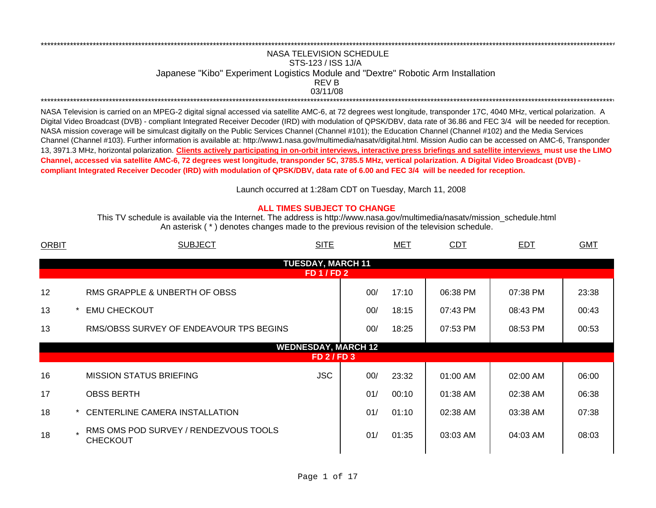## NASA TELEVISION SCHEDULESTS-123 / ISS 1J/A Japanese "Kibo" Experiment Logistics Module and "Dextre" Robotic Arm Installation 03/11/08\*\*\*\*\*\*\*\*\*\*\*\*\*\*\*\*\*\*\*\*\*\*\*\*\*\*\*\*\*\*\*\*\*\*\*\*\*\*\*\*\*\*\*\*\*\*\*\*\*\*\*\*\*\*\*\*\*\*\*\*\*\*\*\*\*\*\*\*\*\*\*\*\*\*\*\*\*\*\*\*\*\*\*\*\*\*\*\*\*\*\*\*\*\*\*\*\*\*\*\*\*\*\*\*\*\*\*\*\*\*\*\*\*\*\*\*\*\*\*\*\*\*\*\*\*\*\*\*\*\*\*\*\*\*\*\*\*\*\*\*\*\*\*\*\*\*\*\*\*\*\*\*\*\*\*\*\*\*\*\*\*\*\*\*\*\*\*\*\*\*\*\*\*\*\*\*\*REV B

\*\*\*\*\*\*\*\*\*\*\*\*\*\*\*\*\*\*\*\*\*\*\*\*\*\*\*\*\*\*\*\*\*\*\*\*\*\*\*\*\*\*\*\*\*\*\*\*\*\*\*\*\*\*\*\*\*\*\*\*\*\*\*\*\*\*\*\*\*\*\*\*\*\*\*\*\*\*\*\*\*\*\*\*\*\*\*\*\*\*\*\*\*\*\*\*\*\*\*\*\*\*\*\*\*\*\*\*\*\*\*\*\*\*\*\*\*\*\*\*\*\*\*\*\*\*\*\*\*\*\*\*\*\*\*\*\*\*\*\*\*\*\*\*\*\*\*\*\*\*\*\*\*\*\*\*\*\*\*\*\*\*\*\*\*\*\*\*\*\*\*\*\*\*\*\*\*

NASA Television is carried on an MPEG-2 digital signal accessed via satellite AMC-6, at 72 degrees west longitude, transponder 17C, 4040 MHz, vertical polarization. A Digital Video Broadcast (DVB) - compliant Integrated Receiver Decoder (IRD) with modulation of QPSK/DBV, data rate of 36.86 and FEC 3/4 will be needed for reception. NASA mission coverage will be simulcast digitally on the Public Services Channel (Channel #101); the Education Channel (Channel #102) and the Media Services Channel (Channel #103). Further information is available at: http://www1.nasa.gov/multimedia/nasatv/digital.html. Mission Audio can be accessed on AMC-6, Transponder 13, 3971.3 MHz, horizontal polarization. **Clients actively participating in on-orbit interviews, interactive press briefings and satellite interviews must use the LIMO Channel, accessed via satellite AMC-6, 72 degrees west longitude, transponder 5C, 3785.5 MHz, vertical polarization. A Digital Video Broadcast (DVB) compliant Integrated Receiver Decoder (IRD) with modulation of QPSK/DBV, data rate of 6.00 and FEC 3/4 will be needed for reception.**

Launch occurred at 1:28am CDT on Tuesday, March 11, 200 8

## **ALL TIMES SUBJECT TO CHANGE**

An asterisk ( \* ) denotes changes made to the previous revision of the television schedule. This TV schedule is available via the Internet. The address is http://www.nasa.gov/multimedia/nasatv/mission\_schedule.html

| <b>ORBIT</b> | <b>SUBJECT</b><br><b>SITE</b>                              |               | <b>MET</b> | <b>CDT</b> | <b>EDT</b> | <b>GMT</b> |  |  |  |  |  |
|--------------|------------------------------------------------------------|---------------|------------|------------|------------|------------|--|--|--|--|--|
|              | <b>TUESDAY, MARCH 11</b>                                   |               |            |            |            |            |  |  |  |  |  |
|              | <b>FD 1 / FD 2</b>                                         |               |            |            |            |            |  |  |  |  |  |
| 12           | RMS GRAPPLE & UNBERTH OF OBSS                              | 00/           | 17:10      | 06:38 PM   | 07:38 PM   | 23:38      |  |  |  |  |  |
| 13           | <b>EMU CHECKOUT</b>                                        | 00/           | 18:15      | 07:43 PM   | 08:43 PM   | 00:43      |  |  |  |  |  |
| 13           | RMS/OBSS SURVEY OF ENDEAVOUR TPS BEGINS                    | 00/           | 18:25      | 07:53 PM   | 08:53 PM   | 00:53      |  |  |  |  |  |
|              | <b>WEDNESDAY, MARCH 12</b>                                 |               |            |            |            |            |  |  |  |  |  |
|              |                                                            | $FD$ 2 / FD 3 |            |            |            |            |  |  |  |  |  |
| 16           | <b>JSC</b><br><b>MISSION STATUS BRIEFING</b>               | 00/           | 23:32      | 01:00 AM   | 02:00 AM   | 06:00      |  |  |  |  |  |
| 17           | <b>OBSS BERTH</b>                                          | 01/           | 00:10      | 01:38 AM   | 02:38 AM   | 06:38      |  |  |  |  |  |
| 18           | CENTERLINE CAMERA INSTALLATION                             | 01/           | 01:10      | 02:38 AM   | 03:38 AM   | 07:38      |  |  |  |  |  |
| 18           | . RMS OMS POD SURVEY / RENDEZVOUS TOOLS<br><b>CHECKOUT</b> | 01/           | 01:35      | 03:03 AM   | 04:03 AM   | 08:03      |  |  |  |  |  |
|              |                                                            |               |            |            |            |            |  |  |  |  |  |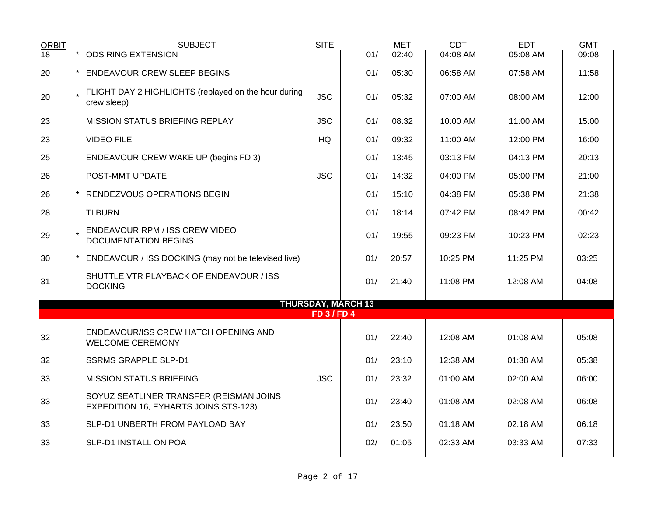| <b>ORBIT</b><br>18 | $\star$ | <b>SUBJECT</b><br><b>ODS RING EXTENSION</b>                                             | <b>SITE</b>      | 01/                       | <b>MET</b><br>02:40 | CDT<br>04:08 AM | <b>EDT</b><br>05:08 AM | <b>GMT</b><br>09:08 |
|--------------------|---------|-----------------------------------------------------------------------------------------|------------------|---------------------------|---------------------|-----------------|------------------------|---------------------|
| 20                 |         | * ENDEAVOUR CREW SLEEP BEGINS                                                           |                  | 01/                       | 05:30               | 06:58 AM        | 07:58 AM               | 11:58               |
| 20                 |         | FLIGHT DAY 2 HIGHLIGHTS (replayed on the hour during<br>crew sleep)                     | <b>JSC</b>       | 01/                       | 05:32               | 07:00 AM        | 08:00 AM               | 12:00               |
| 23                 |         | <b>MISSION STATUS BRIEFING REPLAY</b>                                                   | <b>JSC</b>       | 01/                       | 08:32               | 10:00 AM        | 11:00 AM               | 15:00               |
| 23                 |         | <b>VIDEO FILE</b>                                                                       | HQ               | 01/                       | 09:32               | 11:00 AM        | 12:00 PM               | 16:00               |
| 25                 |         | <b>ENDEAVOUR CREW WAKE UP (begins FD 3)</b>                                             |                  | 01/                       | 13:45               | 03:13 PM        | 04:13 PM               | 20:13               |
| 26                 |         | POST-MMT UPDATE                                                                         | <b>JSC</b>       | 01/                       | 14:32               | 04:00 PM        | 05:00 PM               | 21:00               |
| 26                 |         | * RENDEZVOUS OPERATIONS BEGIN                                                           |                  | 01/                       | 15:10               | 04:38 PM        | 05:38 PM               | 21:38               |
| 28                 |         | <b>TI BURN</b>                                                                          |                  | 01/                       | 18:14               | 07:42 PM        | 08:42 PM               | 00:42               |
| 29                 |         | ENDEAVOUR RPM / ISS CREW VIDEO<br><b>DOCUMENTATION BEGINS</b>                           |                  | 01/                       | 19:55               | 09:23 PM        | 10:23 PM               | 02:23               |
| 30                 |         | ENDEAVOUR / ISS DOCKING (may not be televised live)                                     |                  | 01/                       | 20:57               | 10:25 PM        | 11:25 PM               | 03:25               |
| 31                 |         | SHUTTLE VTR PLAYBACK OF ENDEAVOUR / ISS<br><b>DOCKING</b>                               |                  | 01/                       | 21:40               | 11:08 PM        | 12:08 AM               | 04:08               |
|                    |         |                                                                                         | <b>FD 3/FD 4</b> | <b>THURSDAY, MARCH 13</b> |                     |                 |                        |                     |
| 32                 |         | ENDEAVOUR/ISS CREW HATCH OPENING AND<br><b>WELCOME CEREMONY</b>                         |                  | 01/                       | 22:40               | 12:08 AM        | 01:08 AM               | 05:08               |
| 32                 |         | <b>SSRMS GRAPPLE SLP-D1</b>                                                             |                  | 01/                       | 23:10               | 12:38 AM        | 01:38 AM               | 05:38               |
| 33                 |         | <b>MISSION STATUS BRIEFING</b>                                                          | <b>JSC</b>       | 01/                       | 23:32               | 01:00 AM        | 02:00 AM               | 06:00               |
| 33                 |         | SOYUZ SEATLINER TRANSFER (REISMAN JOINS<br><b>EXPEDITION 16, EYHARTS JOINS STS-123)</b> |                  | 01/                       | 23:40               | 01:08 AM        | 02:08 AM               | 06:08               |
| 33                 |         | SLP-D1 UNBERTH FROM PAYLOAD BAY                                                         |                  | 01/                       | 23:50               | 01:18 AM        | 02:18 AM               | 06:18               |
| 33                 |         | SLP-D1 INSTALL ON POA                                                                   |                  | 02/                       | 01:05               | 02:33 AM        | 03:33 AM               | 07:33               |
|                    |         |                                                                                         |                  |                           |                     |                 |                        |                     |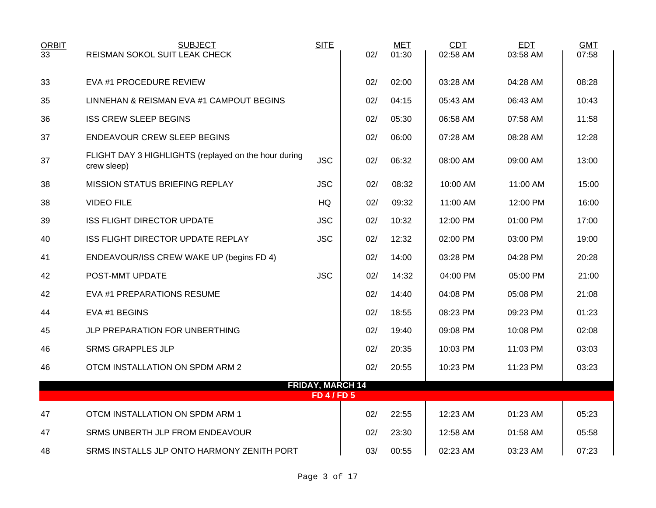| <b>ORBIT</b><br>33 | <b>SUBJECT</b><br><b>REISMAN SOKOL SUIT LEAK CHECK</b>              | <b>SITE</b>                                   | 02/ | <b>MET</b><br>01:30 | CDT<br>02:58 AM | <b>EDT</b><br>03:58 AM | <b>GMT</b><br>07:58 |
|--------------------|---------------------------------------------------------------------|-----------------------------------------------|-----|---------------------|-----------------|------------------------|---------------------|
| 33                 | EVA #1 PROCEDURE REVIEW                                             |                                               | 02/ | 02:00               | 03:28 AM        | 04:28 AM               | 08:28               |
| 35                 | LINNEHAN & REISMAN EVA #1 CAMPOUT BEGINS                            |                                               | 02/ | 04:15               | 05:43 AM        | 06:43 AM               | 10:43               |
| 36                 | <b>ISS CREW SLEEP BEGINS</b>                                        |                                               | 02/ | 05:30               | 06:58 AM        | 07:58 AM               | 11:58               |
| 37                 | <b>ENDEAVOUR CREW SLEEP BEGINS</b>                                  |                                               | 02/ | 06:00               | 07:28 AM        | 08:28 AM               | 12:28               |
| 37                 | FLIGHT DAY 3 HIGHLIGHTS (replayed on the hour during<br>crew sleep) | <b>JSC</b>                                    | 02/ | 06:32               | 08:00 AM        | 09:00 AM               | 13:00               |
| 38                 | <b>MISSION STATUS BRIEFING REPLAY</b>                               | <b>JSC</b>                                    | 02/ | 08:32               | 10:00 AM        | 11:00 AM               | 15:00               |
| 38                 | <b>VIDEO FILE</b>                                                   | HQ                                            | 02/ | 09:32               | 11:00 AM        | 12:00 PM               | 16:00               |
| 39                 | <b>ISS FLIGHT DIRECTOR UPDATE</b>                                   | <b>JSC</b>                                    | 02/ | 10:32               | 12:00 PM        | $01:00$ PM             | 17:00               |
| 40                 | ISS FLIGHT DIRECTOR UPDATE REPLAY                                   | <b>JSC</b>                                    | 02/ | 12:32               | 02:00 PM        | 03:00 PM               | 19:00               |
| 41                 | ENDEAVOUR/ISS CREW WAKE UP (begins FD 4)                            |                                               | 02/ | 14:00               | 03:28 PM        | 04:28 PM               | 20:28               |
| 42                 | POST-MMT UPDATE                                                     | <b>JSC</b>                                    | 02/ | 14:32               | 04:00 PM        | 05:00 PM               | 21:00               |
| 42                 | EVA #1 PREPARATIONS RESUME                                          |                                               | 02/ | 14:40               | 04:08 PM        | 05:08 PM               | 21:08               |
| 44                 | EVA #1 BEGINS                                                       |                                               | 02/ | 18:55               | 08:23 PM        | 09:23 PM               | 01:23               |
| 45                 | JLP PREPARATION FOR UNBERTHING                                      |                                               | 02/ | 19:40               | 09:08 PM        | 10:08 PM               | 02:08               |
| 46                 | <b>SRMS GRAPPLES JLP</b>                                            |                                               | 02/ | 20:35               | 10:03 PM        | 11:03 PM               | 03:03               |
| 46                 | OTCM INSTALLATION ON SPDM ARM 2                                     |                                               | 02/ | 20:55               | 10:23 PM        | 11:23 PM               | 03:23               |
|                    |                                                                     | <b>FRIDAY, MARCH 14</b><br><b>FD 4 / FD 5</b> |     |                     |                 |                        |                     |
|                    |                                                                     |                                               |     |                     |                 |                        |                     |
| 47                 | OTCM INSTALLATION ON SPDM ARM 1                                     |                                               | 02/ | 22:55               | 12:23 AM        | 01:23 AM               | 05:23               |
| 47                 | SRMS UNBERTH JLP FROM ENDEAVOUR                                     |                                               | 02/ | 23:30               | 12:58 AM        | 01:58 AM               | 05:58               |
| 48                 | SRMS INSTALLS JLP ONTO HARMONY ZENITH PORT                          |                                               | 03/ | 00:55               | 02:23 AM        | 03:23 AM               | 07:23               |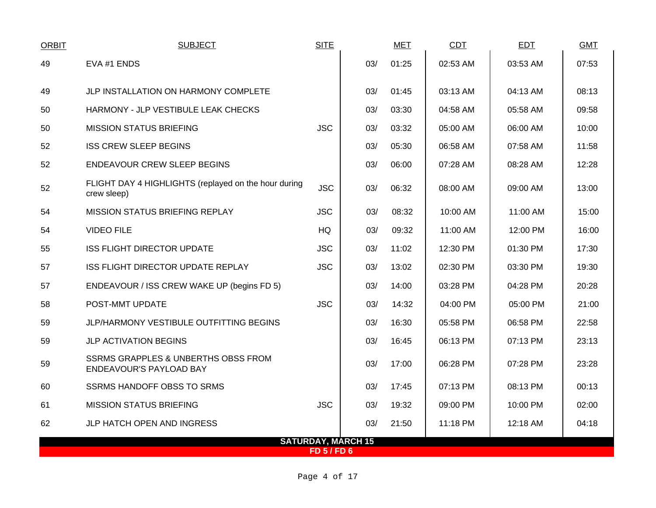| <b>ORBIT</b> | <b>SUBJECT</b>                                                                   | <b>SITE</b>      |                           | <b>MET</b> | CDT      | <b>EDT</b> | <b>GMT</b> |
|--------------|----------------------------------------------------------------------------------|------------------|---------------------------|------------|----------|------------|------------|
| 49           | EVA #1 ENDS                                                                      |                  | 03/                       | 01:25      | 02:53 AM | 03:53 AM   | 07:53      |
| 49           | JLP INSTALLATION ON HARMONY COMPLETE                                             |                  | 03/                       | 01:45      | 03:13 AM | 04:13 AM   | 08:13      |
| 50           | HARMONY - JLP VESTIBULE LEAK CHECKS                                              |                  | 03/                       | 03:30      | 04:58 AM | 05:58 AM   | 09:58      |
| 50           | <b>MISSION STATUS BRIEFING</b>                                                   | <b>JSC</b>       | 03/                       | 03:32      | 05:00 AM | 06:00 AM   | 10:00      |
| 52           | <b>ISS CREW SLEEP BEGINS</b>                                                     |                  | 03/                       | 05:30      | 06:58 AM | 07:58 AM   | 11:58      |
| 52           | <b>ENDEAVOUR CREW SLEEP BEGINS</b>                                               |                  | 03/                       | 06:00      | 07:28 AM | 08:28 AM   | 12:28      |
| 52           | FLIGHT DAY 4 HIGHLIGHTS (replayed on the hour during<br>crew sleep)              | <b>JSC</b>       | 03/                       | 06:32      | 08:00 AM | 09:00 AM   | 13:00      |
| 54           | <b>MISSION STATUS BRIEFING REPLAY</b>                                            | <b>JSC</b>       | 03/                       | 08:32      | 10:00 AM | 11:00 AM   | 15:00      |
| 54           | <b>VIDEO FILE</b>                                                                | <b>HQ</b>        | 03/                       | 09:32      | 11:00 AM | 12:00 PM   | 16:00      |
| 55           | ISS FLIGHT DIRECTOR UPDATE                                                       | <b>JSC</b>       | 03/                       | 11:02      | 12:30 PM | 01:30 PM   | 17:30      |
| 57           | ISS FLIGHT DIRECTOR UPDATE REPLAY                                                | <b>JSC</b>       | 03/                       | 13:02      | 02:30 PM | 03:30 PM   | 19:30      |
| 57           | ENDEAVOUR / ISS CREW WAKE UP (begins FD 5)                                       |                  | 03/                       | 14:00      | 03:28 PM | 04:28 PM   | 20:28      |
| 58           | POST-MMT UPDATE                                                                  | <b>JSC</b>       | 03/                       | 14:32      | 04:00 PM | 05:00 PM   | 21:00      |
| 59           | JLP/HARMONY VESTIBULE OUTFITTING BEGINS                                          |                  | 03/                       | 16:30      | 05:58 PM | 06:58 PM   | 22:58      |
| 59           | JLP ACTIVATION BEGINS                                                            |                  | 03/                       | 16:45      | 06:13 PM | 07:13 PM   | 23:13      |
| 59           | <b>SSRMS GRAPPLES &amp; UNBERTHS OBSS FROM</b><br><b>ENDEAVOUR'S PAYLOAD BAY</b> |                  | 03/                       | 17:00      | 06:28 PM | 07:28 PM   | 23:28      |
| 60           | <b>SSRMS HANDOFF OBSS TO SRMS</b>                                                |                  | 03/                       | 17:45      | 07:13 PM | 08:13 PM   | 00:13      |
| 61           | <b>MISSION STATUS BRIEFING</b>                                                   | <b>JSC</b>       | 03/                       | 19:32      | 09:00 PM | 10:00 PM   | 02:00      |
| 62           | JLP HATCH OPEN AND INGRESS                                                       |                  | 03/                       | 21:50      | 11:18 PM | 12:18 AM   | 04:18      |
|              |                                                                                  | <b>FD 5/FD 6</b> | <b>SATURDAY, MARCH 15</b> |            |          |            |            |
|              |                                                                                  |                  |                           |            |          |            |            |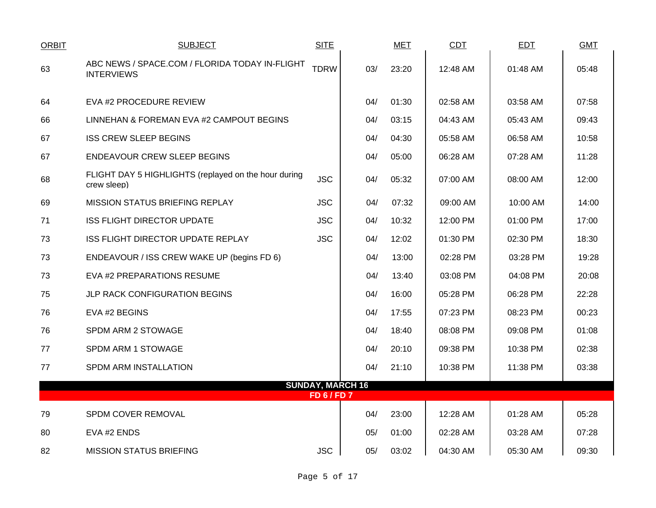| <b>ORBIT</b> | <b>SUBJECT</b>                                                      | <b>SITE</b>             |     | <b>MET</b> | <b>CDT</b> | <b>EDT</b> | <b>GMT</b> |
|--------------|---------------------------------------------------------------------|-------------------------|-----|------------|------------|------------|------------|
| 63           | ABC NEWS / SPACE.COM / FLORIDA TODAY IN-FLIGHT<br><b>INTERVIEWS</b> | <b>TDRW</b>             | 03/ | 23:20      | 12:48 AM   | 01:48 AM   | 05:48      |
| 64           | EVA #2 PROCEDURE REVIEW                                             |                         | 04/ | 01:30      | 02:58 AM   | 03:58 AM   | 07:58      |
| 66           | LINNEHAN & FOREMAN EVA #2 CAMPOUT BEGINS                            |                         | 04/ | 03:15      | 04:43 AM   | 05:43 AM   | 09:43      |
| 67           | <b>ISS CREW SLEEP BEGINS</b>                                        |                         | 04/ | 04:30      | 05:58 AM   | 06:58 AM   | 10:58      |
| 67           | ENDEAVOUR CREW SLEEP BEGINS                                         |                         | 04/ | 05:00      | 06:28 AM   | 07:28 AM   | 11:28      |
| 68           | FLIGHT DAY 5 HIGHLIGHTS (replayed on the hour during<br>crew sleep) | <b>JSC</b>              | 04/ | 05:32      | 07:00 AM   | 08:00 AM   | 12:00      |
| 69           | MISSION STATUS BRIEFING REPLAY                                      | <b>JSC</b>              | 04/ | 07:32      | 09:00 AM   | 10:00 AM   | 14:00      |
| 71           | <b>ISS FLIGHT DIRECTOR UPDATE</b>                                   | <b>JSC</b>              | 04/ | 10:32      | 12:00 PM   | 01:00 PM   | 17:00      |
| 73           | ISS FLIGHT DIRECTOR UPDATE REPLAY                                   | <b>JSC</b>              | 04/ | 12:02      | 01:30 PM   | 02:30 PM   | 18:30      |
| 73           | ENDEAVOUR / ISS CREW WAKE UP (begins FD 6)                          |                         | 04/ | 13:00      | 02:28 PM   | 03:28 PM   | 19:28      |
| 73           | EVA #2 PREPARATIONS RESUME                                          |                         | 04/ | 13:40      | 03:08 PM   | 04:08 PM   | 20:08      |
| 75           | JLP RACK CONFIGURATION BEGINS                                       |                         | 04/ | 16:00      | 05:28 PM   | 06:28 PM   | 22:28      |
| 76           | EVA #2 BEGINS                                                       |                         | 04/ | 17:55      | 07:23 PM   | 08:23 PM   | 00:23      |
| 76           | SPDM ARM 2 STOWAGE                                                  |                         | 04/ | 18:40      | 08:08 PM   | 09:08 PM   | 01:08      |
| 77           | SPDM ARM 1 STOWAGE                                                  |                         | 04/ | 20:10      | 09:38 PM   | 10:38 PM   | 02:38      |
| 77           | SPDM ARM INSTALLATION                                               |                         | 04/ | 21:10      | 10:38 PM   | 11:38 PM   | 03:38      |
|              |                                                                     | <b>SUNDAY, MARCH 16</b> |     |            |            |            |            |
|              |                                                                     | <b>FD 6 / FD 7</b>      |     |            |            |            |            |
| 79           | SPDM COVER REMOVAL                                                  |                         | 04/ | 23:00      | 12:28 AM   | 01:28 AM   | 05:28      |
| 80           | EVA #2 ENDS                                                         |                         | 05/ | 01:00      | 02:28 AM   | 03:28 AM   | 07:28      |
| 82           | <b>MISSION STATUS BRIEFING</b>                                      | <b>JSC</b>              | 05/ | 03:02      | 04:30 AM   | 05:30 AM   | 09:30      |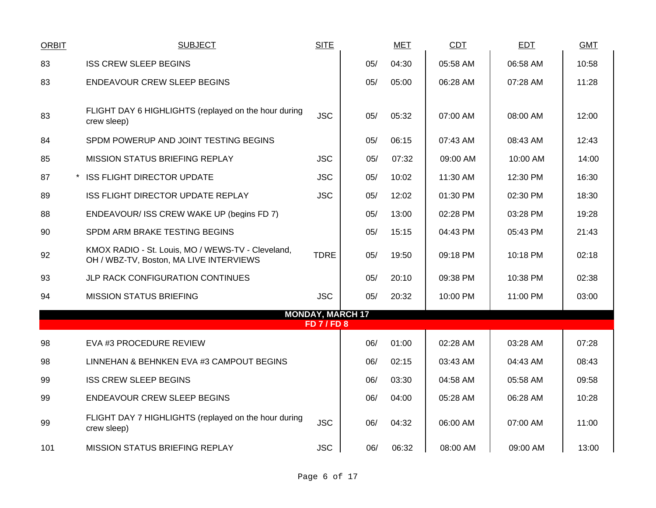| <b>ORBIT</b> | <b>SUBJECT</b>                                                                               | <b>SITE</b>                                   |     | <b>MET</b> | <b>CDT</b> | <b>EDT</b> | <b>GMT</b> |
|--------------|----------------------------------------------------------------------------------------------|-----------------------------------------------|-----|------------|------------|------------|------------|
| 83           | <b>ISS CREW SLEEP BEGINS</b>                                                                 |                                               | 05/ | 04:30      | 05:58 AM   | 06:58 AM   | 10:58      |
| 83           | <b>ENDEAVOUR CREW SLEEP BEGINS</b>                                                           |                                               | 05/ | 05:00      | 06:28 AM   | 07:28 AM   | 11:28      |
| 83           | FLIGHT DAY 6 HIGHLIGHTS (replayed on the hour during<br>crew sleep)                          | <b>JSC</b>                                    | 05/ | 05:32      | 07:00 AM   | 08:00 AM   | 12:00      |
| 84           | SPDM POWERUP AND JOINT TESTING BEGINS                                                        |                                               | 05/ | 06:15      | 07:43 AM   | 08:43 AM   | 12:43      |
| 85           | MISSION STATUS BRIEFING REPLAY                                                               | <b>JSC</b>                                    | 05/ | 07:32      | 09:00 AM   | 10:00 AM   | 14:00      |
| 87           | * ISS FLIGHT DIRECTOR UPDATE                                                                 | <b>JSC</b>                                    | 05/ | 10:02      | 11:30 AM   | 12:30 PM   | 16:30      |
| 89           | <b>ISS FLIGHT DIRECTOR UPDATE REPLAY</b>                                                     | <b>JSC</b>                                    | 05/ | 12:02      | 01:30 PM   | 02:30 PM   | 18:30      |
| 88           | ENDEAVOUR/ ISS CREW WAKE UP (begins FD 7)                                                    |                                               | 05/ | 13:00      | 02:28 PM   | 03:28 PM   | 19:28      |
| 90           | SPDM ARM BRAKE TESTING BEGINS                                                                |                                               | 05/ | 15:15      | 04:43 PM   | 05:43 PM   | 21:43      |
| 92           | KMOX RADIO - St. Louis, MO / WEWS-TV - Cleveland,<br>OH / WBZ-TV, Boston, MA LIVE INTERVIEWS | <b>TDRE</b>                                   | 05/ | 19:50      | 09:18 PM   | 10:18 PM   | 02:18      |
| 93           | JLP RACK CONFIGURATION CONTINUES                                                             |                                               | 05/ | 20:10      | 09:38 PM   | 10:38 PM   | 02:38      |
| 94           | <b>MISSION STATUS BRIEFING</b>                                                               | <b>JSC</b>                                    | 05/ | 20:32      | 10:00 PM   | 11:00 PM   | 03:00      |
|              |                                                                                              | <b>MONDAY, MARCH 17</b><br><b>FD 7 / FD 8</b> |     |            |            |            |            |
| 98           | EVA #3 PROCEDURE REVIEW                                                                      |                                               | 06/ | 01:00      | 02:28 AM   | 03:28 AM   | 07:28      |
| 98           | LINNEHAN & BEHNKEN EVA #3 CAMPOUT BEGINS                                                     |                                               | 06/ | 02:15      | 03:43 AM   | 04:43 AM   | 08:43      |
| 99           | <b>ISS CREW SLEEP BEGINS</b>                                                                 |                                               | 06/ | 03:30      | 04:58 AM   | 05:58 AM   | 09:58      |
| 99           | <b>ENDEAVOUR CREW SLEEP BEGINS</b>                                                           |                                               | 06/ | 04:00      | 05:28 AM   | 06:28 AM   | 10:28      |
| 99           | FLIGHT DAY 7 HIGHLIGHTS (replayed on the hour during<br>crew sleep)                          | <b>JSC</b>                                    | 06/ | 04:32      | 06:00 AM   | 07:00 AM   | 11:00      |
| 101          | <b>MISSION STATUS BRIEFING REPLAY</b>                                                        | <b>JSC</b>                                    | 06/ | 06:32      | 08:00 AM   | 09:00 AM   | 13:00      |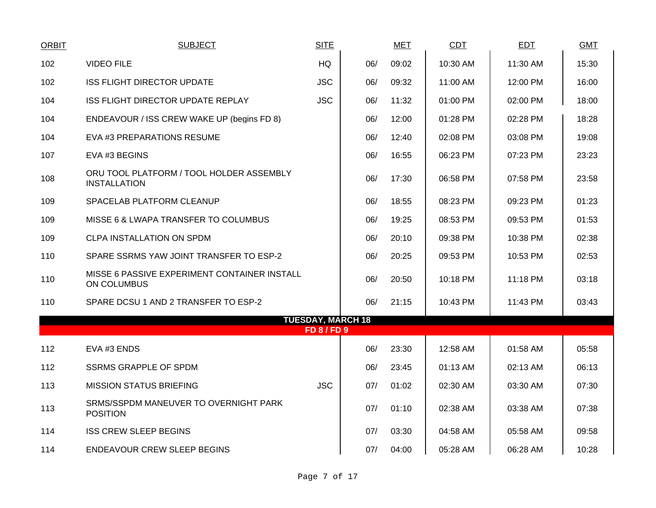| <b>ORBIT</b> | <b>SUBJECT</b>                                                  | <b>SITE</b>                                    |     | <b>MET</b> | <b>CDT</b> | <b>EDT</b> | <b>GMT</b> |
|--------------|-----------------------------------------------------------------|------------------------------------------------|-----|------------|------------|------------|------------|
| 102          | <b>VIDEO FILE</b>                                               | HQ                                             | 06/ | 09:02      | 10:30 AM   | 11:30 AM   | 15:30      |
| 102          | <b>ISS FLIGHT DIRECTOR UPDATE</b>                               | <b>JSC</b>                                     | 06/ | 09:32      | 11:00 AM   | 12:00 PM   | 16:00      |
| 104          | ISS FLIGHT DIRECTOR UPDATE REPLAY                               | <b>JSC</b>                                     | 06/ | 11:32      | 01:00 PM   | 02:00 PM   | 18:00      |
| 104          | ENDEAVOUR / ISS CREW WAKE UP (begins FD 8)                      |                                                | 06/ | 12:00      | 01:28 PM   | 02:28 PM   | 18:28      |
| 104          | EVA #3 PREPARATIONS RESUME                                      |                                                | 06/ | 12:40      | 02:08 PM   | 03:08 PM   | 19:08      |
| 107          | EVA #3 BEGINS                                                   |                                                | 06/ | 16:55      | 06:23 PM   | 07:23 PM   | 23:23      |
| 108          | ORU TOOL PLATFORM / TOOL HOLDER ASSEMBLY<br><b>INSTALLATION</b> |                                                | 06/ | 17:30      | 06:58 PM   | 07:58 PM   | 23:58      |
| 109          | SPACELAB PLATFORM CLEANUP                                       |                                                | 06/ | 18:55      | 08:23 PM   | 09:23 PM   | 01:23      |
| 109          | MISSE 6 & LWAPA TRANSFER TO COLUMBUS                            |                                                | 06/ | 19:25      | 08:53 PM   | 09:53 PM   | 01:53      |
| 109          | <b>CLPA INSTALLATION ON SPDM</b>                                |                                                | 06/ | 20:10      | 09:38 PM   | 10:38 PM   | 02:38      |
| 110          | SPARE SSRMS YAW JOINT TRANSFER TO ESP-2                         |                                                | 06/ | 20:25      | 09:53 PM   | 10:53 PM   | 02:53      |
| 110          | MISSE 6 PASSIVE EXPERIMENT CONTAINER INSTALL<br>ON COLUMBUS     |                                                | 06/ | 20:50      | 10:18 PM   | 11:18 PM   | 03:18      |
| 110          | SPARE DCSU 1 AND 2 TRANSFER TO ESP-2                            |                                                | 06/ | 21:15      | 10:43 PM   | 11:43 PM   | 03:43      |
|              |                                                                 | <b>TUESDAY, MARCH 18</b><br><b>FD 8 / FD 9</b> |     |            |            |            |            |
| 112          | EVA #3 ENDS                                                     |                                                | 06/ | 23:30      | 12:58 AM   | 01:58 AM   | 05:58      |
| 112          | <b>SSRMS GRAPPLE OF SPDM</b>                                    |                                                | 06/ | 23:45      | 01:13 AM   | 02:13 AM   | 06:13      |
| 113          | <b>MISSION STATUS BRIEFING</b>                                  | <b>JSC</b>                                     | 07/ | 01:02      | 02:30 AM   | 03:30 AM   | 07:30      |
|              | SRMS/SSPDM MANEUVER TO OVERNIGHT PARK                           |                                                |     |            |            |            |            |
| 113          | <b>POSITION</b>                                                 |                                                | 07/ | 01:10      | 02:38 AM   | 03:38 AM   | 07:38      |
| 114          | <b>ISS CREW SLEEP BEGINS</b>                                    |                                                | 07/ | 03:30      | 04:58 AM   | 05:58 AM   | 09:58      |
| 114          | ENDEAVOUR CREW SLEEP BEGINS                                     |                                                | 07/ | 04:00      | 05:28 AM   | 06:28 AM   | 10:28      |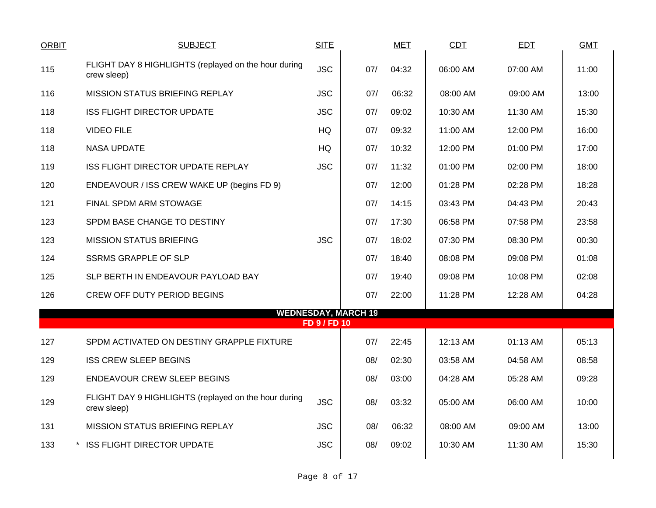| <b>ORBIT</b> | <b>SUBJECT</b>                                                      | <b>SITE</b>  |                            | <b>MET</b> | CDT      | EDT      | <b>GMT</b> |
|--------------|---------------------------------------------------------------------|--------------|----------------------------|------------|----------|----------|------------|
| 115          | FLIGHT DAY 8 HIGHLIGHTS (replayed on the hour during<br>crew sleep) | <b>JSC</b>   | 07/                        | 04:32      | 06:00 AM | 07:00 AM | 11:00      |
| 116          | <b>MISSION STATUS BRIEFING REPLAY</b>                               | <b>JSC</b>   | 07/                        | 06:32      | 08:00 AM | 09:00 AM | 13:00      |
| 118          | <b>ISS FLIGHT DIRECTOR UPDATE</b>                                   | <b>JSC</b>   | 07/                        | 09:02      | 10:30 AM | 11:30 AM | 15:30      |
| 118          | <b>VIDEO FILE</b>                                                   | HQ           | 07/                        | 09:32      | 11:00 AM | 12:00 PM | 16:00      |
| 118          | <b>NASA UPDATE</b>                                                  | HQ           | 07/                        | 10:32      | 12:00 PM | 01:00 PM | 17:00      |
| 119          | <b>ISS FLIGHT DIRECTOR UPDATE REPLAY</b>                            | <b>JSC</b>   | 07/                        | 11:32      | 01:00 PM | 02:00 PM | 18:00      |
| 120          | ENDEAVOUR / ISS CREW WAKE UP (begins FD 9)                          |              | 07/                        | 12:00      | 01:28 PM | 02:28 PM | 18:28      |
| 121          | FINAL SPDM ARM STOWAGE                                              |              | 07/                        | 14:15      | 03:43 PM | 04:43 PM | 20:43      |
| 123          | SPDM BASE CHANGE TO DESTINY                                         |              | 07/                        | 17:30      | 06:58 PM | 07:58 PM | 23:58      |
| 123          | <b>MISSION STATUS BRIEFING</b>                                      | <b>JSC</b>   | 07/                        | 18:02      | 07:30 PM | 08:30 PM | 00:30      |
| 124          | <b>SSRMS GRAPPLE OF SLP</b>                                         |              | 07/                        | 18:40      | 08:08 PM | 09:08 PM | 01:08      |
| 125          | SLP BERTH IN ENDEAVOUR PAYLOAD BAY                                  |              | 07/                        | 19:40      | 09:08 PM | 10:08 PM | 02:08      |
| 126          | <b>CREW OFF DUTY PERIOD BEGINS</b>                                  |              | 07/                        | 22:00      | 11:28 PM | 12:28 AM | 04:28      |
|              |                                                                     | FD 9 / FD 10 | <b>WEDNESDAY, MARCH 19</b> |            |          |          |            |
|              |                                                                     |              |                            |            |          |          |            |
| 127          | SPDM ACTIVATED ON DESTINY GRAPPLE FIXTURE                           |              | 07/                        | 22:45      | 12:13 AM | 01:13 AM | 05:13      |
| 129          | <b>ISS CREW SLEEP BEGINS</b>                                        |              | 08/                        | 02:30      | 03:58 AM | 04:58 AM | 08:58      |
| 129          | <b>ENDEAVOUR CREW SLEEP BEGINS</b>                                  |              | 08/                        | 03:00      | 04:28 AM | 05:28 AM | 09:28      |
| 129          | FLIGHT DAY 9 HIGHLIGHTS (replayed on the hour during<br>crew sleep) | <b>JSC</b>   | 08/                        | 03:32      | 05:00 AM | 06:00 AM | 10:00      |
| 131          | MISSION STATUS BRIEFING REPLAY                                      | <b>JSC</b>   | 08/                        | 06:32      | 08:00 AM | 09:00 AM | 13:00      |
| 133          | * ISS FLIGHT DIRECTOR UPDATE                                        | <b>JSC</b>   | 08/                        | 09:02      | 10:30 AM | 11:30 AM | 15:30      |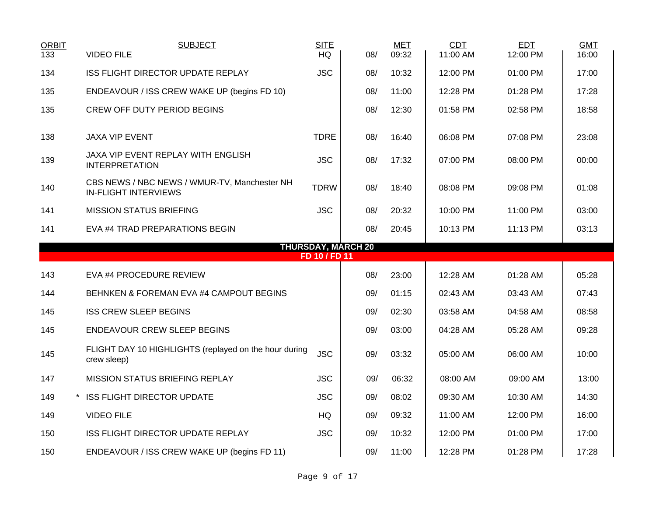| <b>ORBIT</b><br>133 | <b>SUBJECT</b><br><b>VIDEO FILE</b>                                         | <b>SITE</b><br><b>HQ</b> | 08/                       | <b>MET</b><br>09:32 | <b>CDT</b><br>11:00 AM | <b>EDT</b><br>12:00 PM | <b>GMT</b><br>16:00 |
|---------------------|-----------------------------------------------------------------------------|--------------------------|---------------------------|---------------------|------------------------|------------------------|---------------------|
| 134                 | <b>ISS FLIGHT DIRECTOR UPDATE REPLAY</b>                                    | <b>JSC</b>               | 08/                       | 10:32               | 12:00 PM               | 01:00 PM               | 17:00               |
| 135                 | ENDEAVOUR / ISS CREW WAKE UP (begins FD 10)                                 |                          | 08/                       | 11:00               | 12:28 PM               | 01:28 PM               | 17:28               |
| 135                 | <b>CREW OFF DUTY PERIOD BEGINS</b>                                          |                          | 08/                       | 12:30               | 01:58 PM               | 02:58 PM               | 18:58               |
| 138                 | <b>JAXA VIP EVENT</b>                                                       | <b>TDRE</b>              | 08/                       | 16:40               | 06:08 PM               | 07:08 PM               | 23:08               |
| 139                 | JAXA VIP EVENT REPLAY WITH ENGLISH<br><b>INTERPRETATION</b>                 | <b>JSC</b>               | 08/                       | 17:32               | 07:00 PM               | 08:00 PM               | 00:00               |
| 140                 | CBS NEWS / NBC NEWS / WMUR-TV, Manchester NH<br><b>IN-FLIGHT INTERVIEWS</b> | <b>TDRW</b>              | 08/                       | 18:40               | 08:08 PM               | 09:08 PM               | 01:08               |
| 141                 | <b>MISSION STATUS BRIEFING</b>                                              | <b>JSC</b>               | 08/                       | 20:32               | 10:00 PM               | 11:00 PM               | 03:00               |
| 141                 | EVA #4 TRAD PREPARATIONS BEGIN                                              |                          | 08/                       | 20:45               | 10:13 PM               | 11:13 PM               | 03:13               |
|                     |                                                                             | FD 10 / FD 11            | <b>THURSDAY, MARCH 20</b> |                     |                        |                        |                     |
| 143                 | EVA #4 PROCEDURE REVIEW                                                     |                          | 08/                       | 23:00               | 12:28 AM               | 01:28 AM               | 05:28               |
|                     |                                                                             |                          |                           |                     |                        |                        |                     |
| 144                 | BEHNKEN & FOREMAN EVA #4 CAMPOUT BEGINS                                     |                          | 09/                       | 01:15               | 02:43 AM               | 03:43 AM               | 07:43               |
| 145                 | <b>ISS CREW SLEEP BEGINS</b>                                                |                          | 09/                       | 02:30               | 03:58 AM               | 04:58 AM               | 08:58               |
| 145                 | ENDEAVOUR CREW SLEEP BEGINS                                                 |                          | 09/                       | 03:00               | 04:28 AM               | 05:28 AM               | 09:28               |
| 145                 | FLIGHT DAY 10 HIGHLIGHTS (replayed on the hour during<br>crew sleep)        | <b>JSC</b>               | 09/                       | 03:32               | 05:00 AM               | 06:00 AM               | 10:00               |
| 147                 | <b>MISSION STATUS BRIEFING REPLAY</b>                                       | <b>JSC</b>               | 09/                       | 06:32               | 08:00 AM               | 09:00 AM               | 13:00               |
| 149                 | * ISS FLIGHT DIRECTOR UPDATE                                                | <b>JSC</b>               | 09/                       | 08:02               | 09:30 AM               | 10:30 AM               | 14:30               |
| 149                 | <b>VIDEO FILE</b>                                                           | HQ                       | 09/                       | 09:32               | 11:00 AM               | 12:00 PM               | 16:00               |
| 150                 | ISS FLIGHT DIRECTOR UPDATE REPLAY                                           | <b>JSC</b>               | 09/                       | 10:32               | 12:00 PM               | 01:00 PM               | 17:00               |
| 150                 | ENDEAVOUR / ISS CREW WAKE UP (begins FD 11)                                 |                          | 09/                       | 11:00               | 12:28 PM               | 01:28 PM               | 17:28               |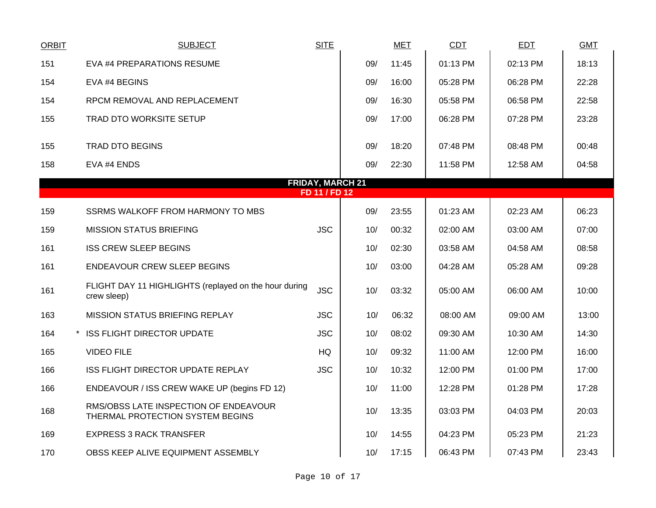| <b>ORBIT</b> | <b>SUBJECT</b>                                                            | <b>SITE</b>             |     | <b>MET</b> | CDT      | <b>EDT</b> | <b>GMT</b> |
|--------------|---------------------------------------------------------------------------|-------------------------|-----|------------|----------|------------|------------|
| 151          | EVA #4 PREPARATIONS RESUME                                                |                         | 09/ | 11:45      | 01:13 PM | 02:13 PM   | 18:13      |
| 154          | EVA #4 BEGINS                                                             |                         | 09/ | 16:00      | 05:28 PM | 06:28 PM   | 22:28      |
| 154          | RPCM REMOVAL AND REPLACEMENT                                              |                         | 09/ | 16:30      | 05:58 PM | 06:58 PM   | 22:58      |
| 155          | <b>TRAD DTO WORKSITE SETUP</b>                                            |                         | 09/ | 17:00      | 06:28 PM | 07:28 PM   | 23:28      |
| 155          | <b>TRAD DTO BEGINS</b>                                                    |                         | 09/ | 18:20      | 07:48 PM | 08:48 PM   | 00:48      |
| 158          | EVA #4 ENDS                                                               |                         | 09/ | 22:30      | 11:58 PM | 12:58 AM   | 04:58      |
|              |                                                                           | <b>FRIDAY, MARCH 21</b> |     |            |          |            |            |
|              |                                                                           | FD 11 / FD 12           |     |            |          |            |            |
| 159          | SSRMS WALKOFF FROM HARMONY TO MBS                                         |                         | 09/ | 23:55      | 01:23 AM | 02:23 AM   | 06:23      |
| 159          | <b>MISSION STATUS BRIEFING</b>                                            | <b>JSC</b>              | 10/ | 00:32      | 02:00 AM | 03:00 AM   | 07:00      |
| 161          | <b>ISS CREW SLEEP BEGINS</b>                                              |                         | 10/ | 02:30      | 03:58 AM | 04:58 AM   | 08:58      |
| 161          | <b>ENDEAVOUR CREW SLEEP BEGINS</b>                                        |                         | 10/ | 03:00      | 04:28 AM | 05:28 AM   | 09:28      |
| 161          | FLIGHT DAY 11 HIGHLIGHTS (replayed on the hour during<br>crew sleep)      | <b>JSC</b>              | 10/ | 03:32      | 05:00 AM | 06:00 AM   | 10:00      |
| 163          | MISSION STATUS BRIEFING REPLAY                                            | <b>JSC</b>              | 10/ | 06:32      | 08:00 AM | 09:00 AM   | 13:00      |
| 164          | * ISS FLIGHT DIRECTOR UPDATE                                              | <b>JSC</b>              | 10/ | 08:02      | 09:30 AM | 10:30 AM   | 14:30      |
| 165          | <b>VIDEO FILE</b>                                                         | <b>HQ</b>               | 10/ | 09:32      | 11:00 AM | 12:00 PM   | 16:00      |
| 166          | ISS FLIGHT DIRECTOR UPDATE REPLAY                                         | <b>JSC</b>              | 10/ | 10:32      | 12:00 PM | 01:00 PM   | 17:00      |
| 166          | ENDEAVOUR / ISS CREW WAKE UP (begins FD 12)                               |                         | 10/ | 11:00      | 12:28 PM | 01:28 PM   | 17:28      |
| 168          | RMS/OBSS LATE INSPECTION OF ENDEAVOUR<br>THERMAL PROTECTION SYSTEM BEGINS |                         | 10/ | 13:35      | 03:03 PM | 04:03 PM   | 20:03      |
| 169          | <b>EXPRESS 3 RACK TRANSFER</b>                                            |                         | 10/ | 14:55      | 04:23 PM | 05:23 PM   | 21:23      |
| 170          | OBSS KEEP ALIVE EQUIPMENT ASSEMBLY                                        |                         | 10/ | 17:15      | 06:43 PM | 07:43 PM   | 23:43      |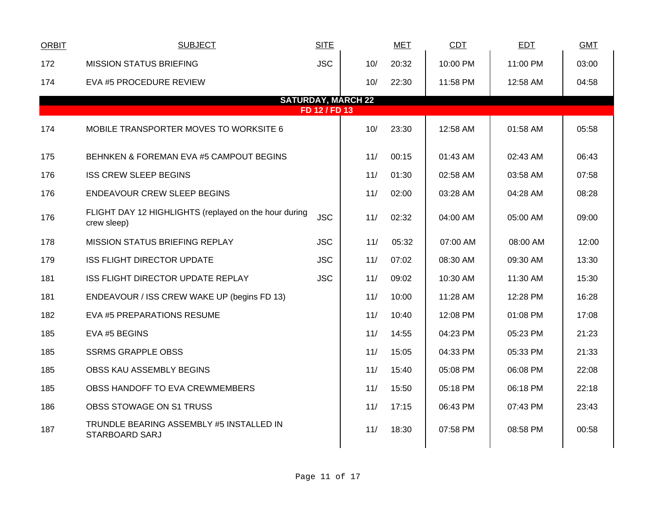| <b>ORBIT</b> | <b>SUBJECT</b>                                                       | <b>SITE</b>   |                           | <b>MET</b> | <b>CDT</b> | <b>EDT</b> | <b>GMT</b> |
|--------------|----------------------------------------------------------------------|---------------|---------------------------|------------|------------|------------|------------|
| 172          | <b>MISSION STATUS BRIEFING</b>                                       | <b>JSC</b>    | 10/                       | 20:32      | 10:00 PM   | 11:00 PM   | 03:00      |
| 174          | EVA #5 PROCEDURE REVIEW                                              |               | 10/                       | 22:30      | 11:58 PM   | 12:58 AM   | 04:58      |
|              |                                                                      | FD 12 / FD 13 | <b>SATURDAY, MARCH 22</b> |            |            |            |            |
|              |                                                                      |               |                           |            |            |            |            |
| 174          | MOBILE TRANSPORTER MOVES TO WORKSITE 6                               |               | 10/                       | 23:30      | 12:58 AM   | 01:58 AM   | 05:58      |
| 175          | BEHNKEN & FOREMAN EVA #5 CAMPOUT BEGINS                              |               | 11/                       | 00:15      | 01:43 AM   | 02:43 AM   | 06:43      |
| 176          | <b>ISS CREW SLEEP BEGINS</b>                                         |               | 11/                       | 01:30      | 02:58 AM   | 03:58 AM   | 07:58      |
| 176          | <b>ENDEAVOUR CREW SLEEP BEGINS</b>                                   |               | 11/                       | 02:00      | 03:28 AM   | 04:28 AM   | 08:28      |
| 176          | FLIGHT DAY 12 HIGHLIGHTS (replayed on the hour during<br>crew sleep) | <b>JSC</b>    | 11/                       | 02:32      | 04:00 AM   | 05:00 AM   | 09:00      |
| 178          | <b>MISSION STATUS BRIEFING REPLAY</b>                                | <b>JSC</b>    | 11/                       | 05:32      | 07:00 AM   | 08:00 AM   | 12:00      |
| 179          | <b>ISS FLIGHT DIRECTOR UPDATE</b>                                    | <b>JSC</b>    | 11/                       | 07:02      | 08:30 AM   | 09:30 AM   | 13:30      |
| 181          | ISS FLIGHT DIRECTOR UPDATE REPLAY                                    | <b>JSC</b>    | 11/                       | 09:02      | 10:30 AM   | 11:30 AM   | 15:30      |
| 181          | ENDEAVOUR / ISS CREW WAKE UP (begins FD 13)                          |               | 11/                       | 10:00      | 11:28 AM   | 12:28 PM   | 16:28      |
| 182          | EVA #5 PREPARATIONS RESUME                                           |               | 11/                       | 10:40      | 12:08 PM   | 01:08 PM   | 17:08      |
| 185          | EVA #5 BEGINS                                                        |               | 11/                       | 14:55      | 04:23 PM   | 05:23 PM   | 21:23      |
| 185          | <b>SSRMS GRAPPLE OBSS</b>                                            |               | 11/                       | 15:05      | 04:33 PM   | 05:33 PM   | 21:33      |
| 185          | OBSS KAU ASSEMBLY BEGINS                                             |               | 11/                       | 15:40      | 05:08 PM   | 06:08 PM   | 22:08      |
| 185          | OBSS HANDOFF TO EVA CREWMEMBERS                                      |               | 11/                       | 15:50      | 05:18 PM   | 06:18 PM   | 22:18      |
| 186          | OBSS STOWAGE ON S1 TRUSS                                             |               | 11/                       | 17:15      | 06:43 PM   | 07:43 PM   | 23:43      |
| 187          | TRUNDLE BEARING ASSEMBLY #5 INSTALLED IN<br><b>STARBOARD SARJ</b>    |               | 11/                       | 18:30      | 07:58 PM   | 08:58 PM   | 00:58      |
|              |                                                                      |               |                           |            |            |            |            |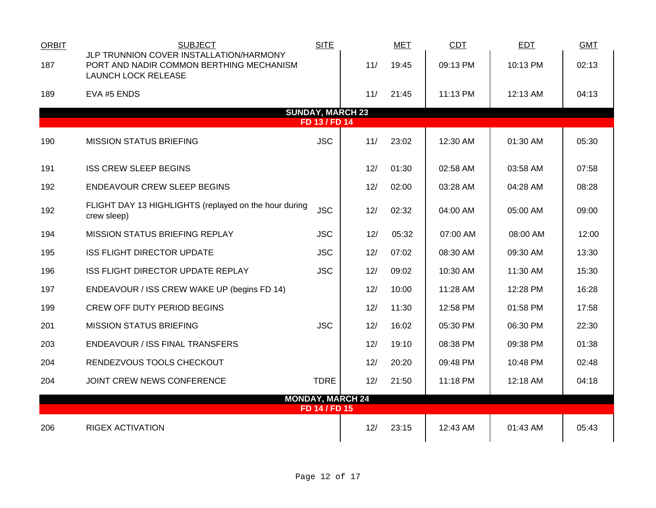| <b>ORBIT</b> | <b>SUBJECT</b>                                                                                                    | <b>SITE</b>                              |                         | <b>MET</b> | CDT      | <b>EDT</b> | <b>GMT</b> |
|--------------|-------------------------------------------------------------------------------------------------------------------|------------------------------------------|-------------------------|------------|----------|------------|------------|
| 187          | JLP TRUNNION COVER INSTALLATION/HARMONY<br>PORT AND NADIR COMMON BERTHING MECHANISM<br><b>LAUNCH LOCK RELEASE</b> |                                          | 11/                     | 19:45      | 09:13 PM | 10:13 PM   | 02:13      |
| 189          | EVA #5 ENDS                                                                                                       |                                          | 11/                     | 21:45      | 11:13 PM | 12:13 AM   | 04:13      |
|              |                                                                                                                   | <b>SUNDAY, MARCH 23</b><br>FD 13 / FD 14 |                         |            |          |            |            |
| 190          | <b>MISSION STATUS BRIEFING</b>                                                                                    | <b>JSC</b>                               | 11/                     | 23:02      | 12:30 AM | 01:30 AM   | 05:30      |
|              |                                                                                                                   |                                          |                         |            |          |            |            |
| 191          | <b>ISS CREW SLEEP BEGINS</b>                                                                                      |                                          | 12/                     | 01:30      | 02:58 AM | 03:58 AM   | 07:58      |
| 192          | <b>ENDEAVOUR CREW SLEEP BEGINS</b>                                                                                |                                          | 12/                     | 02:00      | 03:28 AM | 04:28 AM   | 08:28      |
| 192          | FLIGHT DAY 13 HIGHLIGHTS (replayed on the hour during<br>crew sleep)                                              | <b>JSC</b>                               | 12/                     | 02:32      | 04:00 AM | 05:00 AM   | 09:00      |
| 194          | MISSION STATUS BRIEFING REPLAY                                                                                    | <b>JSC</b>                               | 12/                     | 05:32      | 07:00 AM | 08:00 AM   | 12:00      |
| 195          | <b>ISS FLIGHT DIRECTOR UPDATE</b>                                                                                 | <b>JSC</b>                               | 12/                     | 07:02      | 08:30 AM | 09:30 AM   | 13:30      |
| 196          | ISS FLIGHT DIRECTOR UPDATE REPLAY                                                                                 | <b>JSC</b>                               | 12/                     | 09:02      | 10:30 AM | 11:30 AM   | 15:30      |
| 197          | ENDEAVOUR / ISS CREW WAKE UP (begins FD 14)                                                                       |                                          | 12/                     | 10:00      | 11:28 AM | 12:28 PM   | 16:28      |
| 199          | <b>CREW OFF DUTY PERIOD BEGINS</b>                                                                                |                                          | 12/                     | 11:30      | 12:58 PM | 01:58 PM   | 17:58      |
| 201          | <b>MISSION STATUS BRIEFING</b>                                                                                    | <b>JSC</b>                               | 12/                     | 16:02      | 05:30 PM | 06:30 PM   | 22:30      |
| 203          | <b>ENDEAVOUR / ISS FINAL TRANSFERS</b>                                                                            |                                          | 12/                     | 19:10      | 08:38 PM | 09:38 PM   | 01:38      |
| 204          | RENDEZVOUS TOOLS CHECKOUT                                                                                         |                                          | 12/                     | 20:20      | 09:48 PM | 10:48 PM   | 02:48      |
| 204          | JOINT CREW NEWS CONFERENCE                                                                                        | <b>TDRE</b>                              | 12/                     | 21:50      | 11:18 PM | 12:18 AM   | 04:18      |
|              |                                                                                                                   | FD 14 / FD 15                            | <b>MONDAY, MARCH 24</b> |            |          |            |            |
| 206          | <b>RIGEX ACTIVATION</b>                                                                                           |                                          | 12/                     | 23:15      | 12:43 AM | 01:43 AM   | 05:43      |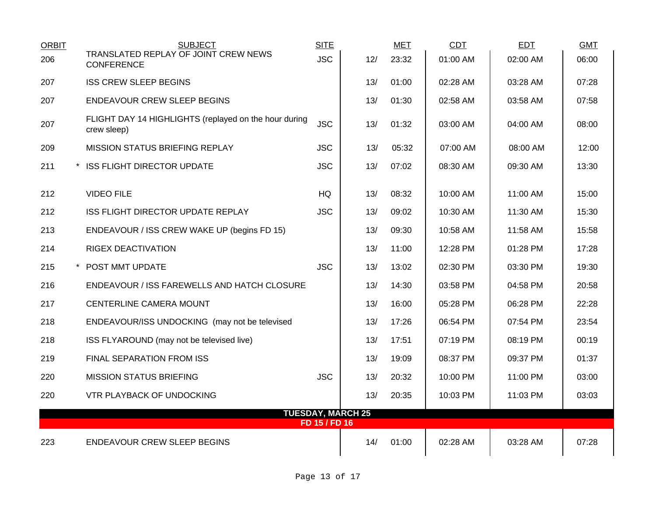| <b>ORBIT</b>                              | <b>SUBJECT</b>                                                       | <b>SITE</b> |     | <b>MET</b> | CDT      | <b>EDT</b> | <b>GMT</b> |  |  |
|-------------------------------------------|----------------------------------------------------------------------|-------------|-----|------------|----------|------------|------------|--|--|
| 206                                       | TRANSLATED REPLAY OF JOINT CREW NEWS<br><b>CONFERENCE</b>            | <b>JSC</b>  | 12/ | 23:32      | 01:00 AM | 02:00 AM   | 06:00      |  |  |
| 207                                       | <b>ISS CREW SLEEP BEGINS</b>                                         |             | 13/ | 01:00      | 02:28 AM | 03:28 AM   | 07:28      |  |  |
| 207                                       | ENDEAVOUR CREW SLEEP BEGINS                                          |             | 13/ | 01:30      | 02:58 AM | 03:58 AM   | 07:58      |  |  |
| 207                                       | FLIGHT DAY 14 HIGHLIGHTS (replayed on the hour during<br>crew sleep) | <b>JSC</b>  | 13/ | 01:32      | 03:00 AM | 04:00 AM   | 08:00      |  |  |
| 209                                       | <b>MISSION STATUS BRIEFING REPLAY</b>                                | <b>JSC</b>  | 13/ | 05:32      | 07:00 AM | 08:00 AM   | 12:00      |  |  |
| 211                                       | * ISS FLIGHT DIRECTOR UPDATE                                         | <b>JSC</b>  | 13/ | 07:02      | 08:30 AM | 09:30 AM   | 13:30      |  |  |
| 212                                       | <b>VIDEO FILE</b>                                                    | <b>HQ</b>   | 13/ | 08:32      | 10:00 AM | 11:00 AM   | 15:00      |  |  |
| 212                                       | ISS FLIGHT DIRECTOR UPDATE REPLAY                                    | <b>JSC</b>  | 13/ | 09:02      | 10:30 AM | 11:30 AM   | 15:30      |  |  |
| 213                                       | ENDEAVOUR / ISS CREW WAKE UP (begins FD 15)                          |             | 13/ | 09:30      | 10:58 AM | 11:58 AM   | 15:58      |  |  |
| 214                                       | <b>RIGEX DEACTIVATION</b>                                            |             | 13/ | 11:00      | 12:28 PM | 01:28 PM   | 17:28      |  |  |
| 215                                       | * POST MMT UPDATE                                                    | <b>JSC</b>  | 13/ | 13:02      | 02:30 PM | 03:30 PM   | 19:30      |  |  |
| 216                                       | ENDEAVOUR / ISS FAREWELLS AND HATCH CLOSURE                          |             | 13/ | 14:30      | 03:58 PM | 04:58 PM   | 20:58      |  |  |
| 217                                       | CENTERLINE CAMERA MOUNT                                              |             | 13/ | 16:00      | 05:28 PM | 06:28 PM   | 22:28      |  |  |
| 218                                       | ENDEAVOUR/ISS UNDOCKING (may not be televised                        |             | 13/ | 17:26      | 06:54 PM | 07:54 PM   | 23:54      |  |  |
| 218                                       | ISS FLYAROUND (may not be televised live)                            |             | 13/ | 17:51      | 07:19 PM | 08:19 PM   | 00:19      |  |  |
| 219                                       | FINAL SEPARATION FROM ISS                                            |             | 13/ | 19:09      | 08:37 PM | 09:37 PM   | 01:37      |  |  |
| 220                                       | <b>MISSION STATUS BRIEFING</b>                                       | <b>JSC</b>  | 13/ | 20:32      | 10:00 PM | 11:00 PM   | 03:00      |  |  |
| 220                                       | VTR PLAYBACK OF UNDOCKING                                            |             | 13/ | 20:35      | 10:03 PM | 11:03 PM   | 03:03      |  |  |
| <b>TUESDAY, MARCH 25</b><br>FD 15 / FD 16 |                                                                      |             |     |            |          |            |            |  |  |
| 223                                       | <b>ENDEAVOUR CREW SLEEP BEGINS</b>                                   |             | 14/ | 01:00      | 02:28 AM | 03:28 AM   | 07:28      |  |  |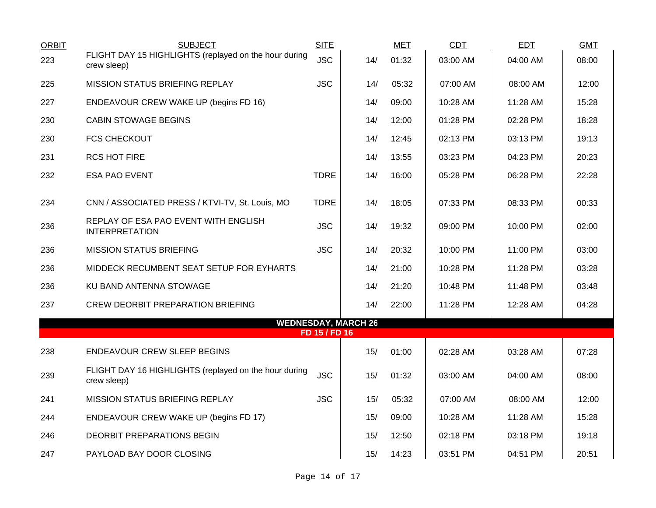| <b>ORBIT</b> | <b>SUBJECT</b>                                                       | <b>SITE</b>   |                            | <b>MET</b> | CDT      | <b>EDT</b> | <b>GMT</b> |
|--------------|----------------------------------------------------------------------|---------------|----------------------------|------------|----------|------------|------------|
| 223          | FLIGHT DAY 15 HIGHLIGHTS (replayed on the hour during<br>crew sleep) | <b>JSC</b>    | 14/                        | 01:32      | 03:00 AM | 04:00 AM   | 08:00      |
| 225          | <b>MISSION STATUS BRIEFING REPLAY</b>                                | <b>JSC</b>    | 14/                        | 05:32      | 07:00 AM | 08:00 AM   | 12:00      |
| 227          | ENDEAVOUR CREW WAKE UP (begins FD 16)                                |               | 14/                        | 09:00      | 10:28 AM | 11:28 AM   | 15:28      |
| 230          | <b>CABIN STOWAGE BEGINS</b>                                          |               | 14/                        | 12:00      | 01:28 PM | 02:28 PM   | 18:28      |
| 230          | <b>FCS CHECKOUT</b>                                                  |               | 14/                        | 12:45      | 02:13 PM | 03:13 PM   | 19:13      |
| 231          | <b>RCS HOT FIRE</b>                                                  |               | 14/                        | 13:55      | 03:23 PM | 04:23 PM   | 20:23      |
| 232          | <b>ESA PAO EVENT</b>                                                 | <b>TDRE</b>   | 14/                        | 16:00      | 05:28 PM | 06:28 PM   | 22:28      |
| 234          |                                                                      | <b>TDRE</b>   | 14/                        | 18:05      | 07:33 PM | 08:33 PM   | 00:33      |
|              | CNN / ASSOCIATED PRESS / KTVI-TV, St. Louis, MO                      |               |                            |            |          |            |            |
| 236          | REPLAY OF ESA PAO EVENT WITH ENGLISH<br><b>INTERPRETATION</b>        | <b>JSC</b>    | 14/                        | 19:32      | 09:00 PM | 10:00 PM   | 02:00      |
| 236          | <b>MISSION STATUS BRIEFING</b>                                       | <b>JSC</b>    | 14/                        | 20:32      | 10:00 PM | 11:00 PM   | 03:00      |
| 236          | MIDDECK RECUMBENT SEAT SETUP FOR EYHARTS                             |               | 14/                        | 21:00      | 10:28 PM | 11:28 PM   | 03:28      |
| 236          | KU BAND ANTENNA STOWAGE                                              |               | 14/                        | 21:20      | 10:48 PM | 11:48 PM   | 03:48      |
| 237          | <b>CREW DEORBIT PREPARATION BRIEFING</b>                             |               | 14/                        | 22:00      | 11:28 PM | 12:28 AM   | 04:28      |
|              |                                                                      | FD 15 / FD 16 | <b>WEDNESDAY, MARCH 26</b> |            |          |            |            |
| 238          | <b>ENDEAVOUR CREW SLEEP BEGINS</b>                                   |               | 15/                        | 01:00      | 02:28 AM | 03:28 AM   | 07:28      |
|              | FLIGHT DAY 16 HIGHLIGHTS (replayed on the hour during                |               |                            |            |          |            |            |
| 239          | crew sleep)                                                          | <b>JSC</b>    | 15/                        | 01:32      | 03:00 AM | 04:00 AM   | 08:00      |
| 241          | <b>MISSION STATUS BRIEFING REPLAY</b>                                | <b>JSC</b>    | 15/                        | 05:32      | 07:00 AM | 08:00 AM   | 12:00      |
| 244          | ENDEAVOUR CREW WAKE UP (begins FD 17)                                |               | 15/                        | 09:00      | 10:28 AM | 11:28 AM   | 15:28      |
| 246          | DEORBIT PREPARATIONS BEGIN                                           |               | 15/                        | 12:50      | 02:18 PM | 03:18 PM   | 19:18      |
| 247          | PAYLOAD BAY DOOR CLOSING                                             |               | 15/                        | 14:23      | 03:51 PM | 04:51 PM   | 20:51      |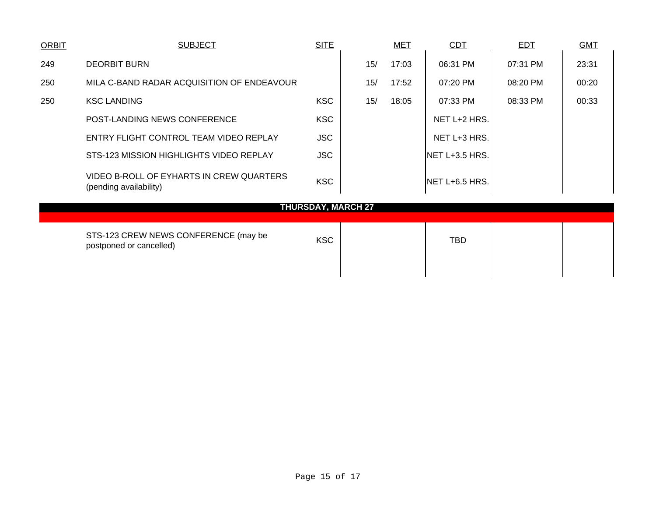| <b>ORBIT</b>              | <b>SUBJECT</b>                                                     | <b>SITE</b> |  |     | <b>MET</b> | <b>CDT</b>     | <b>EDT</b> | <b>GMT</b> |
|---------------------------|--------------------------------------------------------------------|-------------|--|-----|------------|----------------|------------|------------|
| 249                       | <b>DEORBIT BURN</b>                                                |             |  | 15/ | 17:03      | 06:31 PM       | 07:31 PM   | 23:31      |
| 250                       | MILA C-BAND RADAR ACQUISITION OF ENDEAVOUR                         |             |  | 15/ | 17:52      | 07:20 PM       | 08:20 PM   | 00:20      |
| 250                       | <b>KSC LANDING</b>                                                 | <b>KSC</b>  |  | 15/ | 18:05      | 07:33 PM       | 08:33 PM   | 00:33      |
|                           | POST-LANDING NEWS CONFERENCE                                       | <b>KSC</b>  |  |     |            | NET L+2 HRS.   |            |            |
|                           | ENTRY FLIGHT CONTROL TEAM VIDEO REPLAY                             | <b>JSC</b>  |  |     |            | NET L+3 HRS.   |            |            |
|                           | STS-123 MISSION HIGHLIGHTS VIDEO REPLAY                            | <b>JSC</b>  |  |     |            | NET L+3.5 HRS. |            |            |
|                           | VIDEO B-ROLL OF EYHARTS IN CREW QUARTERS<br>(pending availability) | <b>KSC</b>  |  |     |            | NET L+6.5 HRS. |            |            |
| <b>THURSDAY, MARCH 27</b> |                                                                    |             |  |     |            |                |            |            |
|                           | STS-123 CREW NEWS CONFERENCE (may be<br>postponed or cancelled)    | <b>KSC</b>  |  |     |            | <b>TBD</b>     |            |            |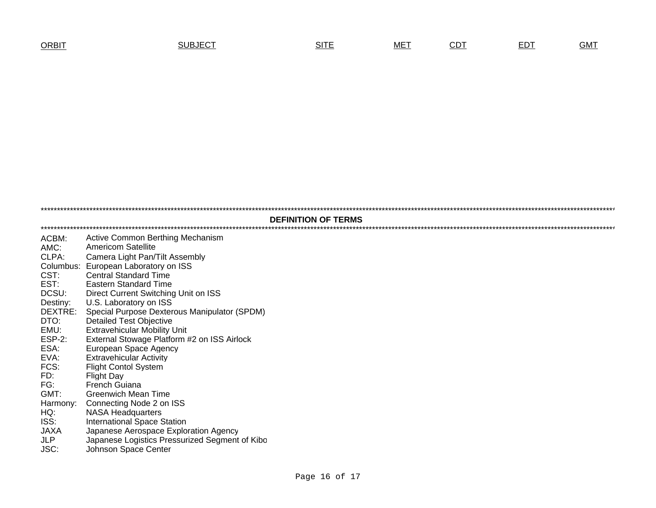| ORBIT | SUBJECT | . | <b>MET</b> | -- | ---<br>-- | $-0.00$ |
|-------|---------|---|------------|----|-----------|---------|
|-------|---------|---|------------|----|-----------|---------|

\*\*\*\*\*\*\*\*\*\*\*\*\*\*\*\*\*\*\*\*\*\*\*\*\*\*\*\*\*\*\*\*\*\*\*\*\*\*\*\*\*\*\*\*\*\*\*\*\*\*\*\*\*\*\*\*\*\*\*\*\*\*\*\*\*\*\*\*\*\*\*\*\*\*\*\*\*\*\*\*\*\*\*\*\*\*\*\*\*\*\*\*\*\*\*\*\*\*\*\*\*\*\*\*\*\*\*\*\*\*\*\*\*\*\*\*\*\*\*\*\*\*\*\*\*\*\*\*\*\*\*\*\*\*\*\*\*\*\*\*\*\*\*\*\*\*\*\*\*\*\*\*\*\*\*\*\*\*\*\*\*\*\*\*\*\*\*\*\*\*\*\*\*\*\*\*\*\*\*\*\*\*\*\*\*\*\*\*\*\*\*\*\*\*\*\*\*\*\*\*\*\*\*\*\*\*\*\*\*\*\*\*\*\*\*\*\*\*\*\*\*\*\*\*\*\*\*\*\*\*\*\*\*\*\*\*\*\*\*\*\*\*\*\*\*\*\*\*\*\*\*\*\*\*\*\*\*\*\*\*\*\*\*\*\*\*\*\*\*\*\*\*\*\*\*\*\*\*\*\*\*\*\*\*\*\*\*\*\*\*\*\*\*\*\*\*\*\*\*\*\*\*\*\*\*\*\*\*\*\*\*\*\*\*\*\*\*\*\*\*\*\*\*\*\*\*\*\*\*\*\*\*\*\*\*\*\*\*\*\*\*\*\*\*\*\*\*\*\*\*\*\*\*\* ACBM: Active Common Berthing Mechanism AMC: Americom Satellite CLPA: Camera Light Pan/Tilt Assembly Columbus: European Laboratory on ISS<br>CST: Central Standard Time CST: Central Standard Time EST: Eastern Standard Time DCSU: Direct Current Switching Unit on ISS Destiny: U.S. Laboratory on ISS DEXTRE: Special Purpose Dexterous Manipulator (SPDM) DTO: Detailed Test Objective<br>EMU: Extravehicular Mobility EMU: Extravehicular Mobility Unit<br>ESP-2: External Stowage Platform ESP-2: External Stowage Platform #2 on ISS Airlock<br>ESA: European Space Agency European Space Agency EVA: Extravehicular Activity<br>FCS: Flight Contol System FCS: Flight Contol System<br>FD: Flight Dav Flight Day FG: French Guiana GMT: Greenwich Mean Time Harmony: Connecting Node 2 on ISS HQ: NASA Headquarters ISS: International Space Station JAXAJAXA Japanese Aerospace Exploration Agency<br>JLP Japanese Logistics Pressurized Segment Japanese Logistics Pressurized Segment of Kibo JSC: Johnson Space Center **DEFINITION OF TERMS**